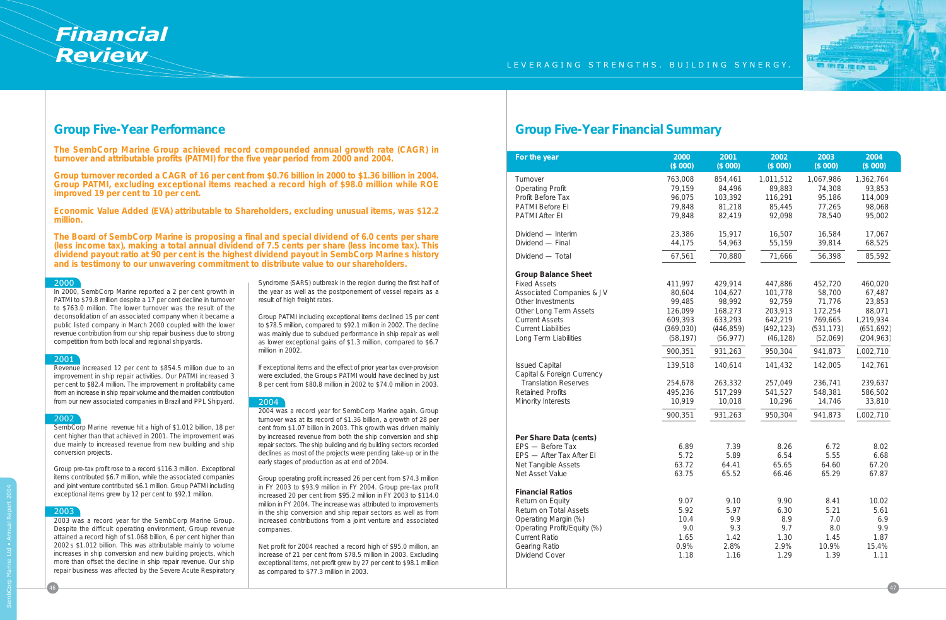

# **Group Five-Year Performance**

**The SembCorp Marine Group achieved record compounded annual growth rate (CAGR) in turnover and attributable profits (PATMI) for the five year period from 2000 and 2004.**

**Group turnover recorded a CAGR of 16 per cent from \$0.76 billion in 2000 to \$1.36 billion in 2004. Group PATMI, excluding exceptional items reached a record high of \$98.0 million while ROE improved 19 per cent to 10 per cent.**

**Economic Value Added (EVA) attributable to Shareholders, excluding unusual items, was \$12.2 million.**

**The Board of SembCorp Marine is proposing a final and special dividend of 6.0 cents per share (less income tax), making a total annual dividend of 7.5 cents per share (less income tax). This dividend payout ratio at 90 per cent is the highest dividend payout in SembCorp Marine s history and is testimony to our unwavering commitment to distribute value to our shareholders.**

| For the year                                                                                                                                                                            | 2000                                                | 2001                                               | 2002                                               | 2003                                                | 2004                                                 |
|-----------------------------------------------------------------------------------------------------------------------------------------------------------------------------------------|-----------------------------------------------------|----------------------------------------------------|----------------------------------------------------|-----------------------------------------------------|------------------------------------------------------|
|                                                                                                                                                                                         | (\$000)                                             | (\$000)                                            | (\$000)                                            | \$000                                               | (\$000)                                              |
| Turnover                                                                                                                                                                                | 763,008                                             | 854,461                                            | 1,011,512                                          | 1,067,986                                           | 1,362,764                                            |
| <b>Operating Profit</b>                                                                                                                                                                 | 79,159                                              | 84,496                                             | 89,883                                             | 74,308                                              | 93,853                                               |
| Profit Before Tax                                                                                                                                                                       | 96,075                                              | 103,392                                            | 116,291                                            | 95,186                                              | 114,009                                              |
| PATMI Before EI                                                                                                                                                                         | 79,848                                              | 81,218                                             | 85,445                                             | 77,265                                              | 98,068                                               |
| <b>PATMI After EI</b>                                                                                                                                                                   | 79,848                                              | 82,419                                             | 92,098                                             | 78,540                                              | 95,002                                               |
| Dividend - Interim                                                                                                                                                                      | 23,386                                              | 15,917                                             | 16,507                                             | 16,584                                              | 17,067                                               |
| Dividend - Final                                                                                                                                                                        | 44,175                                              | 54,963                                             | 55,159                                             | 39,814                                              | 68,525                                               |
| Dividend - Total                                                                                                                                                                        | 67,561                                              | 70,880                                             | 71,666                                             | 56,398                                              | 85,592                                               |
| <b>Group Balance Sheet</b>                                                                                                                                                              | 411,997                                             | 429,914                                            | 447,886                                            | 452,720                                             | 460,020                                              |
| <b>Fixed Assets</b>                                                                                                                                                                     | 80,604                                              | 104,627                                            | 101,778                                            | 58,700                                              | 67,487                                               |
| Associated Companies & JV                                                                                                                                                               | 99,485                                              | 98,992                                             | 92,759                                             | 71,776                                              | 23,853                                               |
| Other Investments                                                                                                                                                                       | 126,099                                             | 168,273                                            | 203,913                                            | 172,254                                             | 88,071                                               |
| Other Long Term Assets                                                                                                                                                                  | 609,393                                             | 633,293                                            | 642,219                                            | 769,665                                             | 1,219,934                                            |
| <b>Current Assets</b>                                                                                                                                                                   | (369, 030)                                          | (446, 859)                                         | (492, 123)                                         | (531, 173)                                          | (651, 692)                                           |
| <b>Current Liabilities</b>                                                                                                                                                              | (58, 197)                                           | (56, 977)                                          | (46, 128)                                          | (52,069)                                            | (204, 963)                                           |
| Long Term Liabilities                                                                                                                                                                   | 900,351                                             | 931,263                                            | 950,304                                            | 941,873                                             | 1,002,710                                            |
| <b>Issued Capital</b>                                                                                                                                                                   | 139,518                                             | 140,614                                            | 141,432                                            | 142,005                                             | 142,761                                              |
| Capital & Foreign Currency                                                                                                                                                              | 254,678                                             | 263,332                                            | 257,049                                            | 236,741                                             | 239,637                                              |
| <b>Translation Reserves</b>                                                                                                                                                             | 495,236                                             | 517,299                                            | 541,527                                            | 548,381                                             | 586,502                                              |
| <b>Retained Profits</b>                                                                                                                                                                 | 10,919                                              | 10,018                                             | 10,296                                             | 14,746                                              | 33,810                                               |
| Minority Interests                                                                                                                                                                      | 900,351                                             | 931,263                                            | 950,304                                            | 941,873                                             | 1,002,710                                            |
| Per Share Data (cents)<br>EPS - Before Tax<br>EPS - After Tax After EI<br>Net Tangible Assets<br>Net Asset Value                                                                        | 6.89<br>5.72<br>63.72<br>63.75                      | 7.39<br>5.89<br>64.41<br>65.52                     | 8.26<br>6.54<br>65.65<br>66.46                     | 6.72<br>5.55<br>64.60<br>65.29                      | 8.02<br>6.68<br>67.20<br>67.87                       |
| <b>Financial Ratios</b><br>Return on Equity<br>Return on Total Assets<br>Operating Margin (%)<br>Operating Profit/Equity (%)<br><b>Current Ratio</b><br>Gearing Ratio<br>Dividend Cover | 9.07<br>5.92<br>10.4<br>9.0<br>1.65<br>0.9%<br>1.18 | 9.10<br>5.97<br>9.9<br>9.3<br>1.42<br>2.8%<br>1.16 | 9.90<br>6.30<br>8.9<br>9.7<br>1.30<br>2.9%<br>1.29 | 8.41<br>5.21<br>7.0<br>8.0<br>1.45<br>10.9%<br>1.39 | 10.02<br>5.61<br>6.9<br>9.9<br>1.87<br>15.4%<br>1.11 |

## **Group Five-Year Financial Summary**

#### 2000

In 2000, SembCorp Marine reported a 2 per cent growth in PATMI to \$79.8 million despite a 17 per cent decline in turnover to \$763.0 million. The lower turnover was the result of the deconsolidation of an associated company when it became a public listed company in March 2000 coupled with the lower revenue contribution from our ship repair business due to strong competition from both local and regional shipyards.

#### 2001

Revenue increased 12 per cent to \$854.5 million due to an improvement in ship repair activities. Our PATMI increased 3 per cent to \$82.4 million. The improvement in profitability came from an increase in ship repair volume and the maiden contribution from our new associated companies in Brazil and PPL Shipyard.

#### 2002

SembCorp Marine revenue hit a high of \$1.012 billion, 18 per cent higher than that achieved in 2001. The improvement was due mainly to increased revenue from new building and ship conversion projects.

Group pre-tax profit rose to a record \$116.3 million. Exceptional items contributed \$6.7 million, while the associated companies and joint venture contributed \$6.1 million. Group PATMI including exceptional items grew by 12 per cent to \$92.1 million.

#### 2003

2003 was a record year for the SembCorp Marine Group. Despite the difficult operating environment, Group revenue attained a record high of \$1.068 billion, 6 per cent higher than 2002 s \$1.012 billion. This was attributable mainly to volume increases in ship conversion and new building projects, which more than offset the decline in ship repair revenue. Our ship repair business was affected by the Severe Acute Respiratory

Syndrome (SARS) outbreak in the region during the first half of the year as well as the postponement of vessel repairs as a result of high freight rates.

Group PATMI including exceptional items declined 15 per cent to \$78.5 million, compared to \$92.1 million in 2002. The decline was mainly due to subdued performance in ship repair as well as lower exceptional gains of \$1.3 million, compared to \$6.7 million in 2002.

If exceptional items and the effect of prior year tax over-provision were excluded, the Group s PATMI would have declined by just 8 per cent from \$80.8 million in 2002 to \$74.0 million in 2003.

#### 2004

2004 was a record year for SembCorp Marine again. Group turnover was at its record of \$1.36 billion, a growth of 28 per cent from \$1.07 billion in 2003. This growth was driven mainly by increased revenue from both the ship conversion and ship repair sectors. The ship building and rig building sectors recorded declines as most of the projects were pending take-up or in the early stages of production as at end of 2004.

Group operating profit increased 26 per cent from \$74.3 million in FY 2003 to \$93.9 million in FY 2004. Group pre-tax profit increased 20 per cent from \$95.2 million in FY 2003 to \$114.0 million in FY 2004. The increase was attributed to improvements in the ship conversion and ship repair sectors as well as from increased contributions from a joint venture and associated companies.

Net profit for 2004 reached a record high of \$95.0 million, an increase of 21 per cent from \$78.5 million in 2003. Excluding exceptional items, net profit grew by 27 per cent to \$98.1 million as compared to \$77.3 million in 2003.